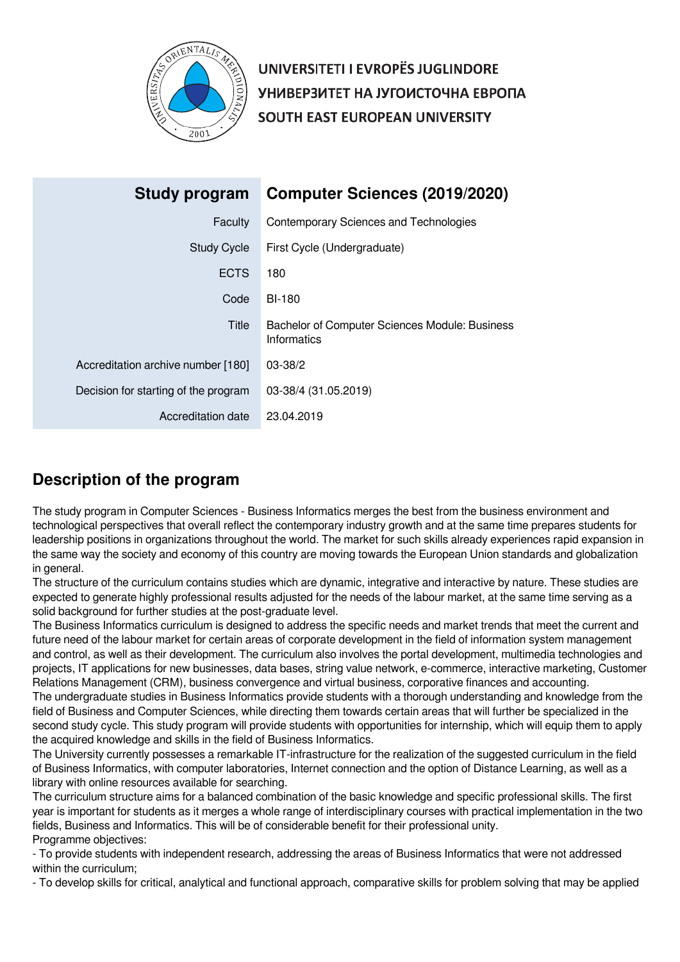

UNIVERSITETI I EVROPËS JUGLINDORE УНИВЕРЗИТЕТ НА ЈУГОИСТОЧНА ЕВРОПА SOUTH EAST EUROPEAN UNIVERSITY

| Study program                        | <b>Computer Sciences (2019/2020)</b>                                 |
|--------------------------------------|----------------------------------------------------------------------|
| Faculty                              | Contemporary Sciences and Technologies                               |
| <b>Study Cycle</b>                   | First Cycle (Undergraduate)                                          |
| <b>ECTS</b>                          | 180                                                                  |
| Code                                 | <b>BI-180</b>                                                        |
| Title                                | Bachelor of Computer Sciences Module: Business<br><b>Informatics</b> |
| Accreditation archive number [180]   | $03 - 38/2$                                                          |
| Decision for starting of the program | 03-38/4 (31.05.2019)                                                 |
| Accreditation date                   | 23.04.2019                                                           |

# **Description of the program**

The study program in Computer Sciences - Business Informatics merges the best from the business environment and technological perspectives that overall reflect the contemporary industry growth and at the same time prepares students for leadership positions in organizations throughout the world. The market for such skills already experiences rapid expansion in the same way the society and economy of this country are moving towards the European Union standards and globalization in general.

The structure of the curriculum contains studies which are dynamic, integrative and interactive by nature. These studies are expected to generate highly professional results adjusted for the needs of the labour market, at the same time serving as a solid background for further studies at the post-graduate level.

The Business Informatics curriculum is designed to address the specific needs and market trends that meet the current and future need of the labour market for certain areas of corporate development in the field of information system management and control, as well as their development. The curriculum also involves the portal development, multimedia technologies and projects, IT applications for new businesses, data bases, string value network, e-commerce, interactive marketing, Customer Relations Management (CRM), business convergence and virtual business, corporative finances and accounting. The undergraduate studies in Business Informatics provide students with a thorough understanding and knowledge from the field of Business and Computer Sciences, while directing them towards certain areas that will further be specialized in the second study cycle. This study program will provide students with opportunities for internship, which will equip them to apply the acquired knowledge and skills in the field of Business Informatics.

The University currently possesses a remarkable IT-infrastructure for the realization of the suggested curriculum in the field of Business Informatics, with computer laboratories, Internet connection and the option of Distance Learning, as well as a library with online resources available for searching.

The curriculum structure aims for a balanced combination of the basic knowledge and specific professional skills. The first year is important for students as it merges a whole range of interdisciplinary courses with practical implementation in the two fields, Business and Informatics. This will be of considerable benefit for their professional unity. Programme objectives:

- To provide students with independent research, addressing the areas of Business Informatics that were not addressed within the curriculum;

- To develop skills for critical, analytical and functional approach, comparative skills for problem solving that may be applied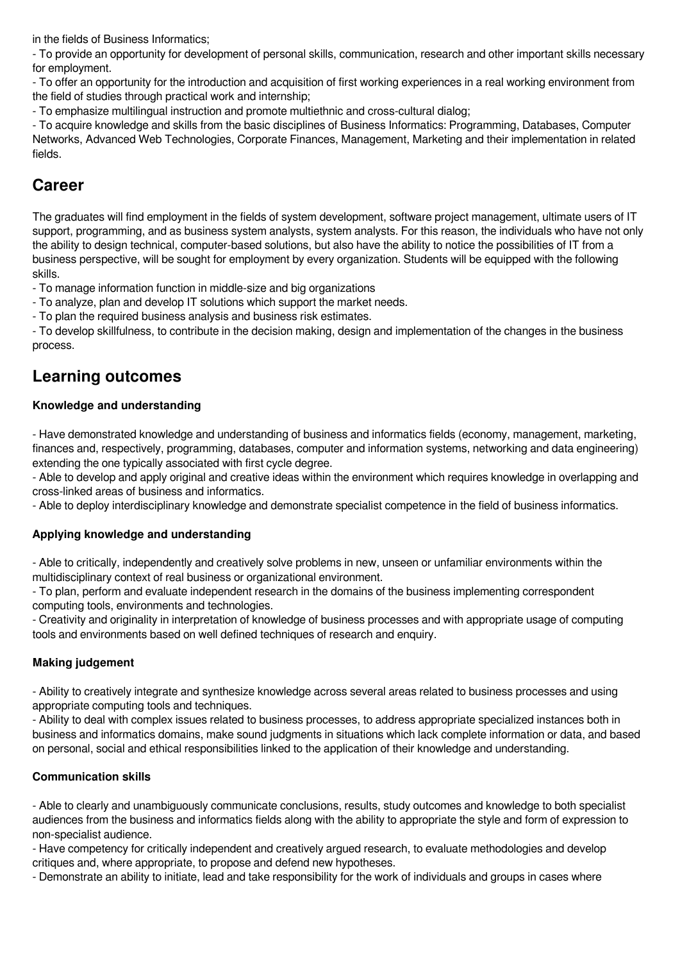in the fields of Business Informatics;

- To provide an opportunity for development of personal skills, communication, research and other important skills necessary for employment.

- To offer an opportunity for the introduction and acquisition of first working experiences in a real working environment from the field of studies through practical work and internship;

- To emphasize multilingual instruction and promote multiethnic and cross-cultural dialog;

- To acquire knowledge and skills from the basic disciplines of Business Informatics: Programming, Databases, Computer Networks, Advanced Web Technologies, Corporate Finances, Management, Marketing and their implementation in related fields.

# **Career**

The graduates will find employment in the fields of system development, software project management, ultimate users of IT support, programming, and as business system analysts, system analysts. For this reason, the individuals who have not only the ability to design technical, computer-based solutions, but also have the ability to notice the possibilities of IT from a business perspective, will be sought for employment by every organization. Students will be equipped with the following skills.

- To manage information function in middle-size and big organizations

- To analyze, plan and develop IT solutions which support the market needs.

- To plan the required business analysis and business risk estimates.

- To develop skillfulness, to contribute in the decision making, design and implementation of the changes in the business process.

# **Learning outcomes**

# **Knowledge and understanding**

- Have demonstrated knowledge and understanding of business and informatics fields (economy, management, marketing, finances and, respectively, programming, databases, computer and information systems, networking and data engineering) extending the one typically associated with first cycle degree.

- Able to develop and apply original and creative ideas within the environment which requires knowledge in overlapping and cross-linked areas of business and informatics.

- Able to deploy interdisciplinary knowledge and demonstrate specialist competence in the field of business informatics.

# **Applying knowledge and understanding**

- Able to critically, independently and creatively solve problems in new, unseen or unfamiliar environments within the multidisciplinary context of real business or organizational environment.

- To plan, perform and evaluate independent research in the domains of the business implementing correspondent computing tools, environments and technologies.

- Creativity and originality in interpretation of knowledge of business processes and with appropriate usage of computing tools and environments based on well defined techniques of research and enquiry.

# **Making judgement**

- Ability to creatively integrate and synthesize knowledge across several areas related to business processes and using appropriate computing tools and techniques.

- Ability to deal with complex issues related to business processes, to address appropriate specialized instances both in business and informatics domains, make sound judgments in situations which lack complete information or data, and based on personal, social and ethical responsibilities linked to the application of their knowledge and understanding.

# **Communication skills**

- Able to clearly and unambiguously communicate conclusions, results, study outcomes and knowledge to both specialist audiences from the business and informatics fields along with the ability to appropriate the style and form of expression to non-specialist audience.

- Have competency for critically independent and creatively argued research, to evaluate methodologies and develop critiques and, where appropriate, to propose and defend new hypotheses.

- Demonstrate an ability to initiate, lead and take responsibility for the work of individuals and groups in cases where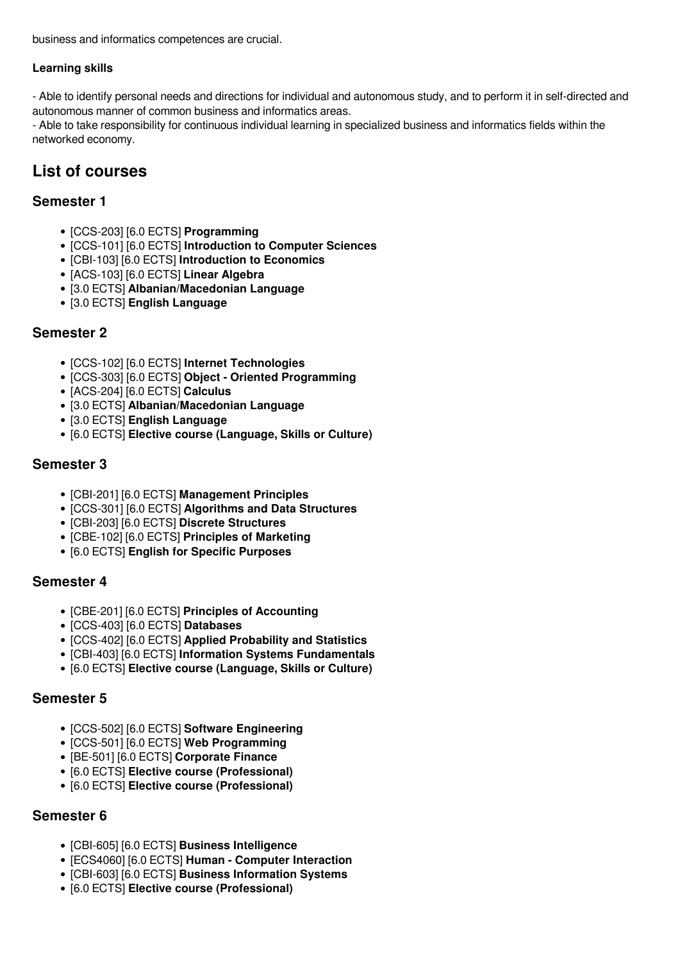business and informatics competences are crucial.

# **Learning skills**

- Able to identify personal needs and directions for individual and autonomous study, and to perform it in self-directed and autonomous manner of common business and informatics areas.

- Able to take responsibility for continuous individual learning in specialized business and informatics fields within the networked economy.

# **List of courses**

# **Semester 1**

- [CCS-203] [6.0 ECTS] **Programming**
- [CCS-101] [6.0 ECTS] **Introduction to Computer Sciences**
- [CBI-103] [6.0 ECTS] **Introduction to Economics**
- [ACS-103] [6.0 ECTS] **Linear Algebra**
- [3.0 ECTS] **Albanian/Macedonian Language**
- [3.0 ECTS] **English Language**

# **Semester 2**

- [CCS-102] [6.0 ECTS] **Internet Technologies**
- [CCS-303] [6.0 ECTS] **Object Oriented Programming**
- [ACS-204] [6.0 ECTS] **Calculus**
- [3.0 ECTS] **Albanian/Macedonian Language**
- [3.0 ECTS] **English Language**
- [6.0 ECTS] **Elective course (Language, Skills or Culture)**

# **Semester 3**

- [CBI-201] [6.0 ECTS] **Management Principles**
- [CCS-301] [6.0 ECTS] **Algorithms and Data Structures**
- [CBI-203] [6.0 ECTS] **Discrete Structures**
- [CBE-102] [6.0 ECTS] **Principles of Marketing**
- [6.0 ECTS] **English for Specific Purposes**

# **Semester 4**

- [CBE-201] [6.0 ECTS] **Principles of Accounting**
- [CCS-403] [6.0 ECTS] **Databases**
- [CCS-402] [6.0 ECTS] **Applied Probability and Statistics**
- [CBI-403] [6.0 ECTS] **Information Systems Fundamentals**
- [6.0 ECTS] **Elective course (Language, Skills or Culture)**

# **Semester 5**

- [CCS-502] [6.0 ECTS] **Software Engineering**
- [CCS-501] [6.0 ECTS] **Web Programming**
- [BE-501] [6.0 ECTS] **Corporate Finance**
- [6.0 ECTS] **Elective course (Professional)**
- [6.0 ECTS] **Elective course (Professional)**

# **Semester 6**

- [CBI-605] [6.0 ECTS] **Business Intelligence**
- [ECS4060] [6.0 ECTS] **Human Computer Interaction**
- [CBI-603] [6.0 ECTS] **Business Information Systems**
- [6.0 ECTS] **Elective course (Professional)**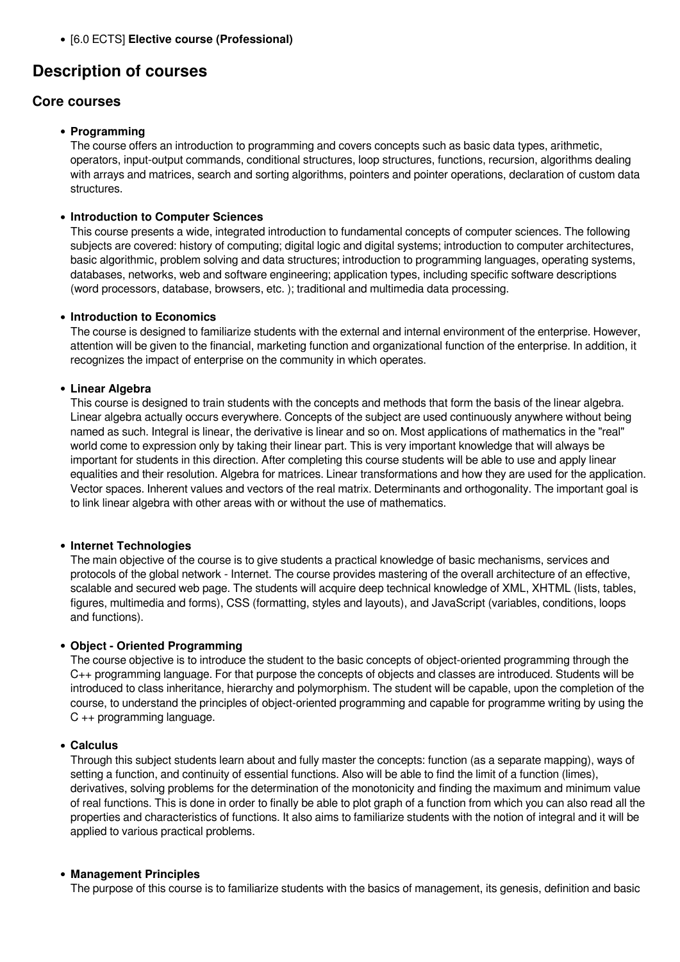[6.0 ECTS] **Elective course (Professional)**

# **Description of courses**

# **Core courses**

# **Programming**

The course offers an introduction to programming and covers concepts such as basic data types, arithmetic, operators, input-output commands, conditional structures, loop structures, functions, recursion, algorithms dealing with arrays and matrices, search and sorting algorithms, pointers and pointer operations, declaration of custom data structures.

# **Introduction to Computer Sciences**

This course presents a wide, integrated introduction to fundamental concepts of computer sciences. The following subjects are covered: history of computing; digital logic and digital systems; introduction to computer architectures, basic algorithmic, problem solving and data structures; introduction to programming languages, operating systems, databases, networks, web and software engineering; application types, including specific software descriptions (word processors, database, browsers, etc. ); traditional and multimedia data processing.

## **Introduction to Economics**

The course is designed to familiarize students with the external and internal environment of the enterprise. However, attention will be given to the financial, marketing function and organizational function of the enterprise. In addition, it recognizes the impact of enterprise on the community in which operates.

# **Linear Algebra**

This course is designed to train students with the concepts and methods that form the basis of the linear algebra. Linear algebra actually occurs everywhere. Concepts of the subject are used continuously anywhere without being named as such. Integral is linear, the derivative is linear and so on. Most applications of mathematics in the "real" world come to expression only by taking their linear part. This is very important knowledge that will always be important for students in this direction. After completing this course students will be able to use and apply linear equalities and their resolution. Algebra for matrices. Linear transformations and how they are used for the application. Vector spaces. Inherent values and vectors of the real matrix. Determinants and orthogonality. The important goal is to link linear algebra with other areas with or without the use of mathematics.

## **Internet Technologies**

The main objective of the course is to give students a practical knowledge of basic mechanisms, services and protocols of the global network - Internet. The course provides mastering of the overall architecture of an effective, scalable and secured web page. The students will acquire deep technical knowledge of XML, XHTML (lists, tables, figures, multimedia and forms), CSS (formatting, styles and layouts), and JavaScript (variables, conditions, loops and functions).

## **Object - Oriented Programming**

The course objective is to introduce the student to the basic concepts of object-oriented programming through the C++ programming language. For that purpose the concepts of objects and classes are introduced. Students will be introduced to class inheritance, hierarchy and polymorphism. The student will be capable, upon the completion of the course, to understand the principles of object-oriented programming and capable for programme writing by using the C ++ programming language.

## **Calculus**

Through this subject students learn about and fully master the concepts: function (as a separate mapping), ways of setting a function, and continuity of essential functions. Also will be able to find the limit of a function (limes), derivatives, solving problems for the determination of the monotonicity and finding the maximum and minimum value of real functions. This is done in order to finally be able to plot graph of a function from which you can also read all the properties and characteristics of functions. It also aims to familiarize students with the notion of integral and it will be applied to various practical problems.

# **Management Principles**

The purpose of this course is to familiarize students with the basics of management, its genesis, definition and basic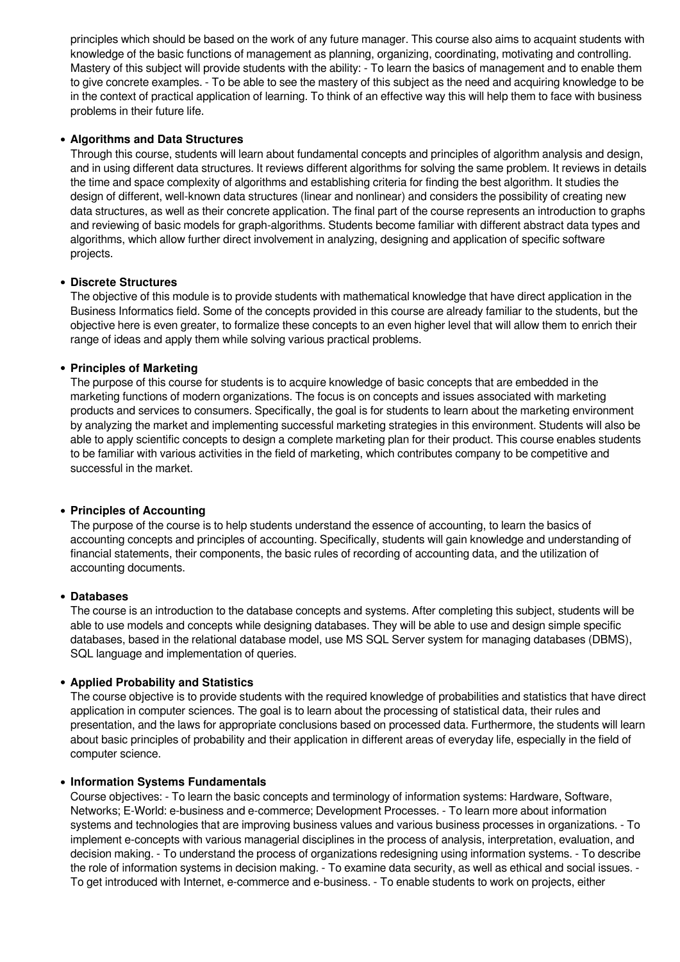principles which should be based on the work of any future manager. This course also aims to acquaint students with knowledge of the basic functions of management as planning, organizing, coordinating, motivating and controlling. Mastery of this subject will provide students with the ability: - To learn the basics of management and to enable them to give concrete examples. - To be able to see the mastery of this subject as the need and acquiring knowledge to be in the context of practical application of learning. To think of an effective way this will help them to face with business problems in their future life.

# **Algorithms and Data Structures**

Through this course, students will learn about fundamental concepts and principles of algorithm analysis and design, and in using different data structures. It reviews different algorithms for solving the same problem. It reviews in details the time and space complexity of algorithms and establishing criteria for finding the best algorithm. It studies the design of different, well-known data structures (linear and nonlinear) and considers the possibility of creating new data structures, as well as their concrete application. The final part of the course represents an introduction to graphs and reviewing of basic models for graph-algorithms. Students become familiar with different abstract data types and algorithms, which allow further direct involvement in analyzing, designing and application of specific software projects.

# **Discrete Structures**

The objective of this module is to provide students with mathematical knowledge that have direct application in the Business Informatics field. Some of the concepts provided in this course are already familiar to the students, but the objective here is even greater, to formalize these concepts to an even higher level that will allow them to enrich their range of ideas and apply them while solving various practical problems.

# **Principles of Marketing**

The purpose of this course for students is to acquire knowledge of basic concepts that are embedded in the marketing functions of modern organizations. The focus is on concepts and issues associated with marketing products and services to consumers. Specifically, the goal is for students to learn about the marketing environment by analyzing the market and implementing successful marketing strategies in this environment. Students will also be able to apply scientific concepts to design a complete marketing plan for their product. This course enables students to be familiar with various activities in the field of marketing, which contributes company to be competitive and successful in the market.

## **Principles of Accounting**

The purpose of the course is to help students understand the essence of accounting, to learn the basics of accounting concepts and principles of accounting. Specifically, students will gain knowledge and understanding of financial statements, their components, the basic rules of recording of accounting data, and the utilization of accounting documents.

## **Databases**

The course is an introduction to the database concepts and systems. After completing this subject, students will be able to use models and concepts while designing databases. They will be able to use and design simple specific databases, based in the relational database model, use MS SQL Server system for managing databases (DBMS), SQL language and implementation of queries.

## **Applied Probability and Statistics**

The course objective is to provide students with the required knowledge of probabilities and statistics that have direct application in computer sciences. The goal is to learn about the processing of statistical data, their rules and presentation, and the laws for appropriate conclusions based on processed data. Furthermore, the students will learn about basic principles of probability and their application in different areas of everyday life, especially in the field of computer science.

## **Information Systems Fundamentals**

Course objectives: - To learn the basic concepts and terminology of information systems: Hardware, Software, Networks; Е-World: e-business and e-commerce; Development Processes. - To learn more about information systems and technologies that are improving business values and various business processes in organizations. - To implement e-concepts with various managerial disciplines in the process of analysis, interpretation, evaluation, and decision making. - To understand the process of organizations redesigning using information systems. - To describe the role of information systems in decision making. - To examine data security, as well as ethical and social issues. - To get introduced with Internet, e-commerce and e-business. - To enable students to work on projects, either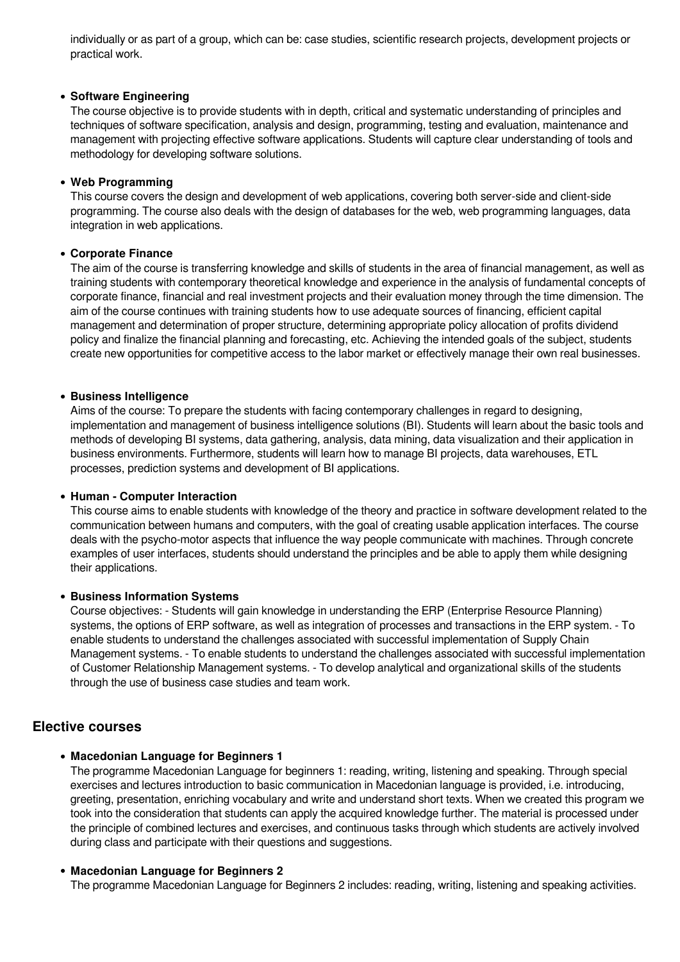individually or as part of a group, which can be: case studies, scientific research projects, development projects or practical work.

#### **Software Engineering**

The course objective is to provide students with in depth, critical and systematic understanding of principles and techniques of software specification, analysis and design, programming, testing and evaluation, maintenance and management with projecting effective software applications. Students will capture clear understanding of tools and methodology for developing software solutions.

#### **Web Programming**

This course covers the design and development of web applications, covering both server-side and client-side programming. The course also deals with the design of databases for the web, web programming languages, data integration in web applications.

#### **Corporate Finance**

The aim of the course is transferring knowledge and skills of students in the area of financial management, as well as training students with contemporary theoretical knowledge and experience in the analysis of fundamental concepts of corporate finance, financial and real investment projects and their evaluation money through the time dimension. The aim of the course continues with training students how to use adequate sources of financing, efficient capital management and determination of proper structure, determining appropriate policy allocation of profits dividend policy and finalize the financial planning and forecasting, etc. Achieving the intended goals of the subject, students create new opportunities for competitive access to the labor market or effectively manage their own real businesses.

#### **Business Intelligence**

Aims of the course: To prepare the students with facing contemporary challenges in regard to designing, implementation and management of business intelligence solutions (BI). Students will learn about the basic tools and methods of developing BI systems, data gathering, analysis, data mining, data visualization and their application in business environments. Furthermore, students will learn how to manage BI projects, data warehouses, ETL processes, prediction systems and development of BI applications.

#### **Human - Computer Interaction**

This course aims to enable students with knowledge of the theory and practice in software development related to the communication between humans and computers, with the goal of creating usable application interfaces. The course deals with the psycho-motor aspects that influence the way people communicate with machines. Through concrete examples of user interfaces, students should understand the principles and be able to apply them while designing their applications.

#### **Business Information Systems**

Course objectives: - Students will gain knowledge in understanding the ERP (Enterprise Resource Planning) systems, the options of ERP software, as well as integration of processes and transactions in the ERP system. - To enable students to understand the challenges associated with successful implementation of Supply Chain Management systems. - To enable students to understand the challenges associated with successful implementation of Customer Relationship Management systems. - To develop analytical and organizational skills of the students through the use of business case studies and team work.

# **Elective courses**

## **Macedonian Language for Beginners 1**

The programme Macedonian Language for beginners 1: reading, writing, listening and speaking. Through special exercises and lectures introduction to basic communication in Macedonian language is provided, i.e. introducing, greeting, presentation, enriching vocabulary and write and understand short texts. When we created this program we took into the consideration that students can apply the acquired knowledge further. The material is processed under the principle of combined lectures and exercises, and continuous tasks through which students are actively involved during class and participate with their questions and suggestions.

## **Macedonian Language for Beginners 2**

The programme Macedonian Language for Beginners 2 includes: reading, writing, listening and speaking activities.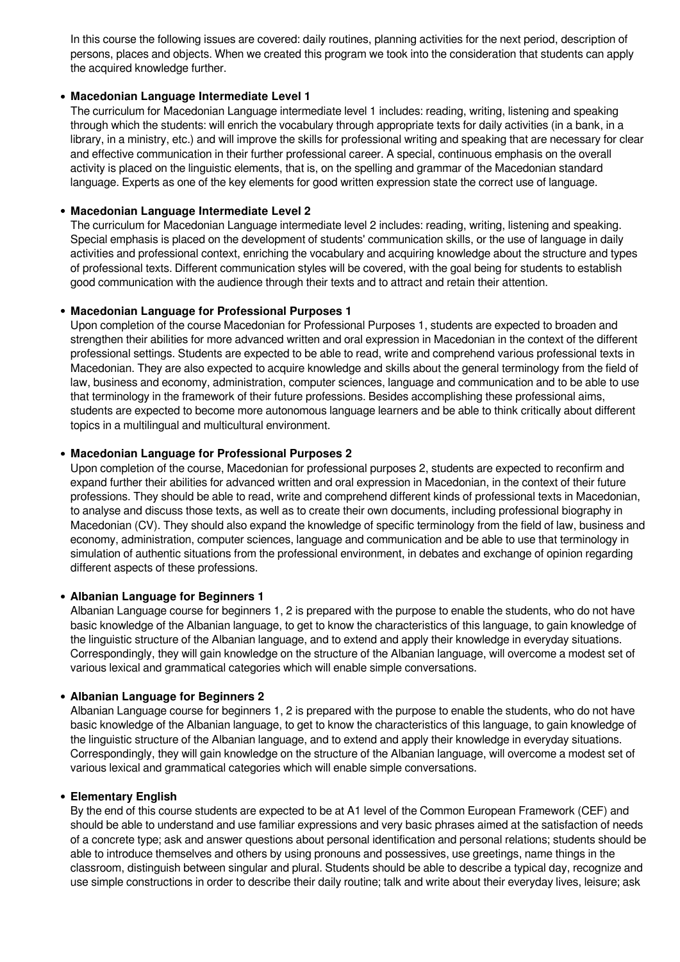In this course the following issues are covered: daily routines, planning activities for the next period, description of persons, places and objects. When we created this program we took into the consideration that students can apply the acquired knowledge further.

## **Macedonian Language Intermediate Level 1**

The curriculum for Macedonian Language intermediate level 1 includes: reading, writing, listening and speaking through which the students: will enrich the vocabulary through appropriate texts for daily activities (in a bank, in a library, in a ministry, etc.) and will improve the skills for professional writing and speaking that are necessary for clear and effective communication in their further professional career. A special, continuous emphasis on the overall activity is placed on the linguistic elements, that is, on the spelling and grammar of the Macedonian standard language. Experts as one of the key elements for good written expression state the correct use of language.

#### **Macedonian Language Intermediate Level 2**

The curriculum for Macedonian Language intermediate level 2 includes: reading, writing, listening and speaking. Special emphasis is placed on the development of students' communication skills, or the use of language in daily activities and professional context, enriching the vocabulary and acquiring knowledge about the structure and types of professional texts. Different communication styles will be covered, with the goal being for students to establish good communication with the audience through their texts and to attract and retain their attention.

#### **Macedonian Language for Professional Purposes 1**

Upon completion of the course Macedonian for Professional Purposes 1, students are expected to broaden and strengthen their abilities for more advanced written and oral expression in Macedonian in the context of the different professional settings. Students are expected to be able to read, write and comprehend various professional texts in Macedonian. They are also expected to acquire knowledge and skills about the general terminology from the field of law, business and economy, administration, computer sciences, language and communication and to be able to use that terminology in the framework of their future professions. Besides accomplishing these professional aims, students are expected to become more autonomous language learners and be able to think critically about different topics in a multilingual and multicultural environment.

#### **Macedonian Language for Professional Purposes 2**

Upon completion of the course, Macedonian for professional purposes 2, students are expected to reconfirm and expand further their abilities for advanced written and oral expression in Macedonian, in the context of their future professions. They should be able to read, write and comprehend different kinds of professional texts in Macedonian, to analyse and discuss those texts, as well as to create their own documents, including professional biography in Macedonian (CV). They should also expand the knowledge of specific terminology from the field of law, business and economy, administration, computer sciences, language and communication and be able to use that terminology in simulation of authentic situations from the professional environment, in debates and exchange of opinion regarding different aspects of these professions.

#### **Albanian Language for Beginners 1**

Albanian Language course for beginners 1, 2 is prepared with the purpose to enable the students, who do not have basic knowledge of the Albanian language, to get to know the characteristics of this language, to gain knowledge of the linguistic structure of the Albanian language, and to extend and apply their knowledge in everyday situations. Correspondingly, they will gain knowledge on the structure of the Albanian language, will overcome a modest set of various lexical and grammatical categories which will enable simple conversations.

#### **Albanian Language for Beginners 2**

Albanian Language course for beginners 1, 2 is prepared with the purpose to enable the students, who do not have basic knowledge of the Albanian language, to get to know the characteristics of this language, to gain knowledge of the linguistic structure of the Albanian language, and to extend and apply their knowledge in everyday situations. Correspondingly, they will gain knowledge on the structure of the Albanian language, will overcome a modest set of various lexical and grammatical categories which will enable simple conversations.

#### **Elementary English**

By the end of this course students are expected to be at A1 level of the Common European Framework (CEF) and should be able to understand and use familiar expressions and very basic phrases aimed at the satisfaction of needs of a concrete type; ask and answer questions about personal identification and personal relations; students should be able to introduce themselves and others by using pronouns and possessives, use greetings, name things in the classroom, distinguish between singular and plural. Students should be able to describe a typical day, recognize and use simple constructions in order to describe their daily routine; talk and write about their everyday lives, leisure; ask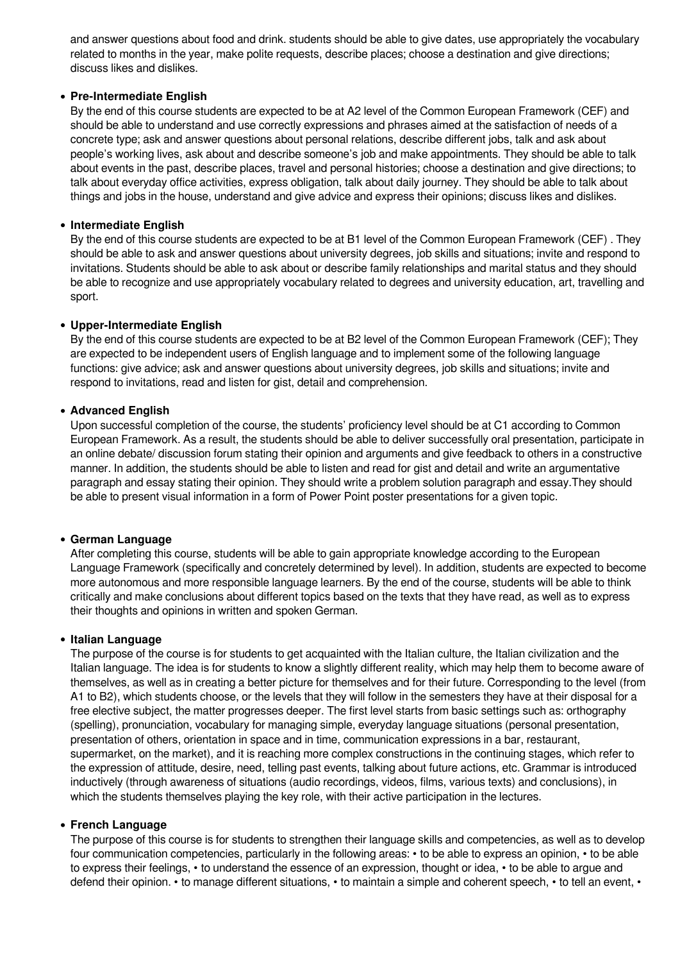and answer questions about food and drink. students should be able to give dates, use appropriately the vocabulary related to months in the year, make polite requests, describe places; choose a destination and give directions; discuss likes and dislikes.

## **Pre-Intermediate English**

By the end of this course students are expected to be at A2 level of the Common European Framework (CEF) and should be able to understand and use correctly expressions and phrases aimed at the satisfaction of needs of a concrete type; ask and answer questions about personal relations, describe different jobs, talk and ask about people's working lives, ask about and describe someone's job and make appointments. They should be able to talk about events in the past, describe places, travel and personal histories; choose a destination and give directions; to talk about everyday office activities, express obligation, talk about daily journey. They should be able to talk about things and jobs in the house, understand and give advice and express their opinions; discuss likes and dislikes.

#### **Intermediate English**

By the end of this course students are expected to be at B1 level of the Common European Framework (CEF) . They should be able to ask and answer questions about university degrees, job skills and situations; invite and respond to invitations. Students should be able to ask about or describe family relationships and marital status and they should be able to recognize and use appropriately vocabulary related to degrees and university education, art, travelling and sport.

#### **Upper-Intermediate English**

By the end of this course students are expected to be at B2 level of the Common European Framework (CEF); They are expected to be independent users of English language and to implement some of the following language functions: give advice; ask and answer questions about university degrees, job skills and situations; invite and respond to invitations, read and listen for gist, detail and comprehension.

#### **Advanced English**

Upon successful completion of the course, the students' proficiency level should be at C1 according to Common European Framework. As a result, the students should be able to deliver successfully oral presentation, participate in an online debate/ discussion forum stating their opinion and arguments and give feedback to others in a constructive manner. In addition, the students should be able to listen and read for gist and detail and write an argumentative paragraph and essay stating their opinion. They should write a problem solution paragraph and essay.They should be able to present visual information in a form of Power Point poster presentations for a given topic.

#### **German Language**

After completing this course, students will be able to gain appropriate knowledge according to the European Language Framework (specifically and concretely determined by level). In addition, students are expected to become more autonomous and more responsible language learners. By the end of the course, students will be able to think critically and make conclusions about different topics based on the texts that they have read, as well as to express their thoughts and opinions in written and spoken German.

#### **Italian Language**

The purpose of the course is for students to get acquainted with the Italian culture, the Italian civilization and the Italian language. The idea is for students to know a slightly different reality, which may help them to become aware of themselves, as well as in creating a better picture for themselves and for their future. Corresponding to the level (from A1 to B2), which students choose, or the levels that they will follow in the semesters they have at their disposal for a free elective subject, the matter progresses deeper. The first level starts from basic settings such as: orthography (spelling), pronunciation, vocabulary for managing simple, everyday language situations (personal presentation, presentation of others, orientation in space and in time, communication expressions in a bar, restaurant, supermarket, on the market), and it is reaching more complex constructions in the continuing stages, which refer to the expression of attitude, desire, need, telling past events, talking about future actions, etc. Grammar is introduced inductively (through awareness of situations (audio recordings, videos, films, various texts) and conclusions), in which the students themselves playing the key role, with their active participation in the lectures.

#### **French Language**

The purpose of this course is for students to strengthen their language skills and competencies, as well as to develop four communication competencies, particularly in the following areas: • to be able to express an opinion, • to be able to express their feelings, • to understand the essence of an expression, thought or idea, • to be able to argue and defend their opinion. • to manage different situations, • to maintain a simple and coherent speech, • to tell an event, •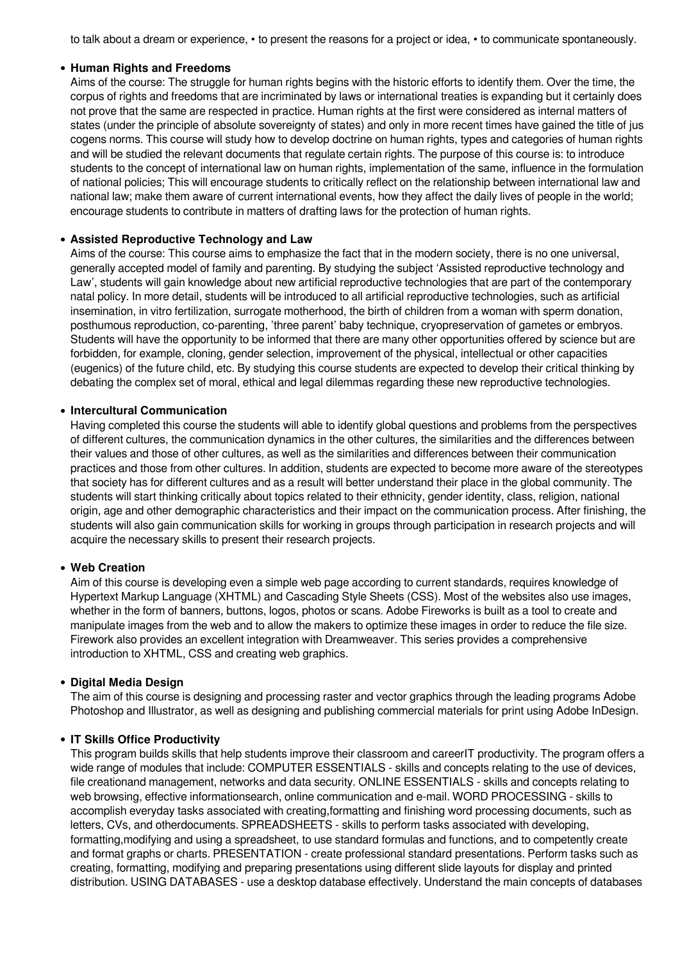to talk about a dream or experience, • to present the reasons for a project or idea, • to communicate spontaneously.

#### **Human Rights and Freedoms**

Aims of the course: The struggle for human rights begins with the historic efforts to identify them. Over the time, the corpus of rights and freedoms that are incriminated by laws or international treaties is expanding but it certainly does not prove that the same are respected in practice. Human rights at the first were considered as internal matters of states (under the principle of absolute sovereignty of states) and only in more recent times have gained the title of jus cogens norms. This course will study how to develop doctrine on human rights, types and categories of human rights and will be studied the relevant documents that regulate certain rights. The purpose of this course is: to introduce students to the concept of international law on human rights, implementation of the same, influence in the formulation of national policies; This will encourage students to critically reflect on the relationship between international law and national law; make them aware of current international events, how they affect the daily lives of people in the world; encourage students to contribute in matters of drafting laws for the protection of human rights.

#### **Assisted Reproductive Technology and Law**

Aims of the course: This course aims to emphasize the fact that in the modern society, there is no one universal, generally accepted model of family and parenting. By studying the subject 'Assisted reproductive technology and Law', students will gain knowledge about new artificial reproductive technologies that are part of the contemporary natal policy. In more detail, students will be introduced to all artificial reproductive technologies, such as artificial insemination, in vitro fertilization, surrogate motherhood, the birth of children from a woman with sperm donation, posthumous reproduction, co-parenting, 'three parent' baby technique, cryopreservation of gametes or embryos. Students will have the opportunity to be informed that there are many other opportunities offered by science but are forbidden, for example, cloning, gender selection, improvement of the physical, intellectual or other capacities (eugenics) of the future child, etc. By studying this course students are expected to develop their critical thinking by debating the complex set of moral, ethical and legal dilemmas regarding these new reproductive technologies.

#### **Intercultural Communication**

Having completed this course the students will able to identify global questions and problems from the perspectives of different cultures, the communication dynamics in the other cultures, the similarities and the differences between their values and those of other cultures, as well as the similarities and differences between their communication practices and those from other cultures. In addition, students are expected to become more aware of the stereotypes that society has for different cultures and as a result will better understand their place in the global community. The students will start thinking critically about topics related to their ethnicity, gender identity, class, religion, national origin, age and other demographic characteristics and their impact on the communication process. After finishing, the students will also gain communication skills for working in groups through participation in research projects and will acquire the necessary skills to present their research projects.

# **Web Creation**

Aim of this course is developing even a simple web page according to current standards, requires knowledge of Hypertext Markup Language (XHTML) and Cascading Style Sheets (CSS). Most of the websites also use images, whether in the form of banners, buttons, logos, photos or scans. Adobe Fireworks is built as a tool to create and manipulate images from the web and to allow the makers to optimize these images in order to reduce the file size. Firework also provides an excellent integration with Dreamweaver. This series provides a comprehensive introduction to XHTML, CSS and creating web graphics.

#### **Digital Media Design**

The aim of this course is designing and processing raster and vector graphics through the leading programs Adobe Photoshop and Illustrator, as well as designing and publishing commercial materials for print using Adobe InDesign.

#### **IT Skills Office Productivity**

This program builds skills that help students improve their classroom and careerIT productivity. The program offers a wide range of modules that include: COMPUTER ESSENTIALS - skills and concepts relating to the use of devices, file creationand management, networks and data security. ONLINE ESSENTIALS - skills and concepts relating to web browsing, effective informationsearch, online communication and e-mail. WORD PROCESSING - skills to accomplish everyday tasks associated with creating,formatting and finishing word processing documents, such as letters, CVs, and otherdocuments. SPREADSHEETS - skills to perform tasks associated with developing, formatting,modifying and using a spreadsheet, to use standard formulas and functions, and to competently create and format graphs or charts. PRESENTATION - create professional standard presentations. Perform tasks such as creating, formatting, modifying and preparing presentations using different slide layouts for display and printed distribution. USING DATABASES - use a desktop database effectively. Understand the main concepts of databases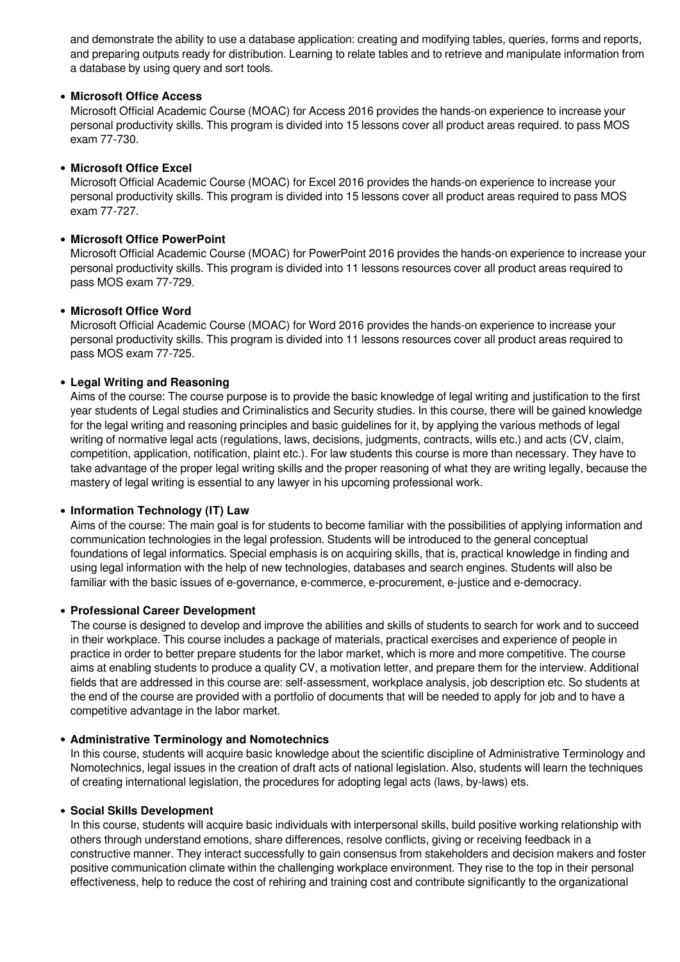and demonstrate the ability to use a database application: creating and modifying tables, queries, forms and reports, and preparing outputs ready for distribution. Learning to relate tables and to retrieve and manipulate information from a database by using query and sort tools.

## **Microsoft Office Access**

Microsoft Official Academic Course (MOAC) for Access 2016 provides the hands-on experience to increase your personal productivity skills. This program is divided into 15 lessons cover all product areas required. to pass MOS exam 77-730.

#### **Microsoft Office Excel**

Microsoft Official Academic Course (MOAC) for Excel 2016 provides the hands-on experience to increase your personal productivity skills. This program is divided into 15 lessons cover all product areas required to pass MOS exam 77-727.

## **Microsoft Office PowerPoint**

Microsoft Official Academic Course (MOAC) for PowerPoint 2016 provides the hands-on experience to increase your personal productivity skills. This program is divided into 11 lessons resources cover all product areas required to pass MOS exam 77-729.

#### **Microsoft Office Word**

Microsoft Official Academic Course (MOAC) for Word 2016 provides the hands-on experience to increase your personal productivity skills. This program is divided into 11 lessons resources cover all product areas required to pass MOS exam 77-725.

#### **Legal Writing and Reasoning**

Aims of the course: The course purpose is to provide the basic knowledge of legal writing and justification to the first year students of Legal studies and Criminalistics and Security studies. In this course, there will be gained knowledge for the legal writing and reasoning principles and basic guidelines for it, by applying the various methods of legal writing of normative legal acts (regulations, laws, decisions, judgments, contracts, wills etc.) and acts (CV, claim, competition, application, notification, plaint etc.). For law students this course is more than necessary. They have to take advantage of the proper legal writing skills and the proper reasoning of what they are writing legally, because the mastery of legal writing is essential to any lawyer in his upcoming professional work.

#### **Information Technology (IT) Law**

Aims of the course: The main goal is for students to become familiar with the possibilities of applying information and communication technologies in the legal profession. Students will be introduced to the general conceptual foundations of legal informatics. Special emphasis is on acquiring skills, that is, practical knowledge in finding and using legal information with the help of new technologies, databases and search engines. Students will also be familiar with the basic issues of e-governance, e-commerce, e-procurement, e-justice and e-democracy.

#### **Professional Careеr Development**

The course is designed to develop and improve the abilities and skills of students to search for work and to succeed in their workplace. This course includes a package of materials, practical exercises and experience of people in practice in order to better prepare students for the labor market, which is more and more competitive. The course aims at enabling students to produce a quality CV, a motivation letter, and prepare them for the interview. Additional fields that are addressed in this course are: self-assessment, workplace analysis, job description etc. So students at the end of the course are provided with a portfolio of documents that will be needed to apply for job and to have a competitive advantage in the labor market.

#### **Administrative Terminology and Nomotechnics**

In this course, students will acquire basic knowledge about the scientific discipline of Administrative Terminology and Nomotechnics, legal issues in the creation of draft acts of national legislation. Also, students will learn the techniques of creating international legislation, the procedures for adopting legal acts (laws, by-laws) ets.

#### **Social Skills Development**

In this course, students will acquire basic individuals with interpersonal skills, build positive working relationship with others through understand emotions, share differences, resolve conflicts, giving or receiving feedback in a constructive manner. They interact successfully to gain consensus from stakeholders and decision makers and foster positive communication climate within the challenging workplace environment. They rise to the top in their personal effectiveness, help to reduce the cost of rehiring and training cost and contribute significantly to the organizational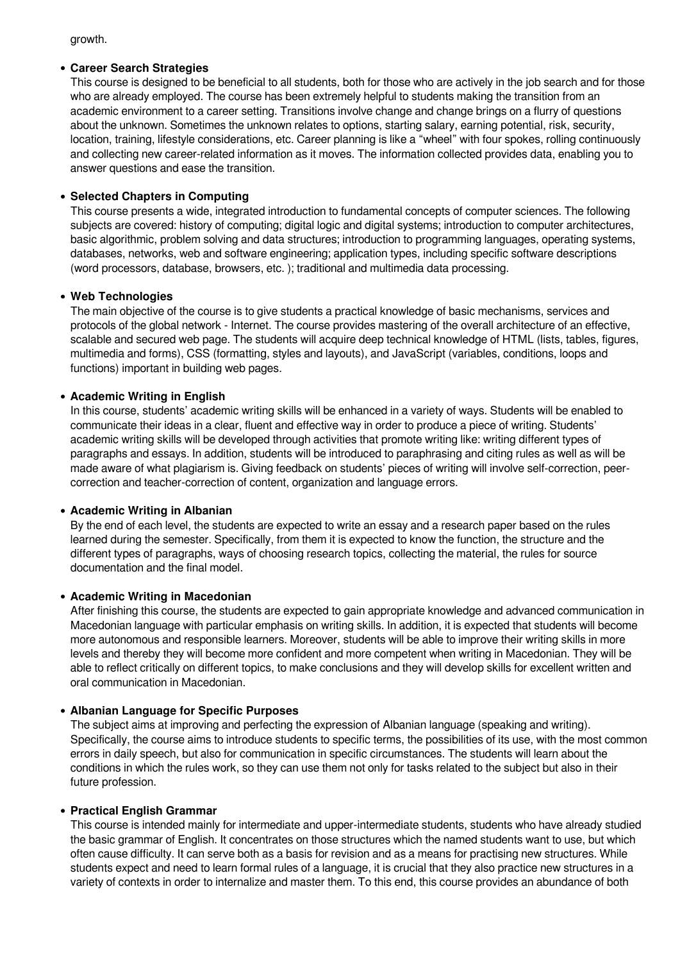growth.

#### **Career Search Strategies**

This course is designed to be beneficial to all students, both for those who are actively in the job search and for those who are already employed. The course has been extremely helpful to students making the transition from an academic environment to a career setting. Transitions involve change and change brings on a flurry of questions about the unknown. Sometimes the unknown relates to options, starting salary, earning potential, risk, security, location, training, lifestyle considerations, etc. Career planning is like a "wheel" with four spokes, rolling continuously and collecting new career-related information as it moves. The information collected provides data, enabling you to answer questions and ease the transition.

# **Selected Chapters in Computing**

This course presents a wide, integrated introduction to fundamental concepts of computer sciences. The following subjects are covered: history of computing; digital logic and digital systems; introduction to computer architectures, basic algorithmic, problem solving and data structures; introduction to programming languages, operating systems, databases, networks, web and software engineering; application types, including specific software descriptions (word processors, database, browsers, etc. ); traditional and multimedia data processing.

# **Web Technologies**

The main objective of the course is to give students a practical knowledge of basic mechanisms, services and protocols of the global network - Internet. The course provides mastering of the overall architecture of an effective, scalable and secured web page. The students will acquire deep technical knowledge of HTML (lists, tables, figures, multimedia and forms), CSS (formatting, styles and layouts), and JavaScript (variables, conditions, loops and functions) important in building web pages.

# **Academic Writing in English**

In this course, students' academic writing skills will be enhanced in a variety of ways. Students will be enabled to communicate their ideas in a clear, fluent and effective way in order to produce a piece of writing. Students' academic writing skills will be developed through activities that promote writing like: writing different types of paragraphs and essays. In addition, students will be introduced to paraphrasing and citing rules as well as will be made aware of what plagiarism is. Giving feedback on students' pieces of writing will involve self-correction, peercorrection and teacher-correction of content, organization and language errors.

## **Academic Writing in Albanian**

By the end of each level, the students are expected to write an essay and a research paper based on the rules learned during the semester. Specifically, from them it is expected to know the function, the structure and the different types of paragraphs, ways of choosing research topics, collecting the material, the rules for source documentation and the final model.

## **Academic Writing in Macedonian**

After finishing this course, the students are expected to gain appropriate knowledge and advanced communication in Macedonian language with particular emphasis on writing skills. In addition, it is expected that students will become more autonomous and responsible learners. Moreover, students will be able to improve their writing skills in more levels and thereby they will become more confident and more competent when writing in Macedonian. They will be able to reflect critically on different topics, to make conclusions and they will develop skills for excellent written and oral communication in Macedonian.

# **Albanian Language for Specific Purposes**

The subject aims at improving and perfecting the expression of Albanian language (speaking and writing). Specifically, the course aims to introduce students to specific terms, the possibilities of its use, with the most common errors in daily speech, but also for communication in specific circumstances. The students will learn about the conditions in which the rules work, so they can use them not only for tasks related to the subject but also in their future profession.

## **Practical English Grammar**

This course is intended mainly for intermediate and upper-intermediate students, students who have already studied the basic grammar of English. It concentrates on those structures which the named students want to use, but which often cause difficulty. It can serve both as a basis for revision and as a means for practising new structures. While students expect and need to learn formal rules of a language, it is crucial that they also practice new structures in a variety of contexts in order to internalize and master them. To this end, this course provides an abundance of both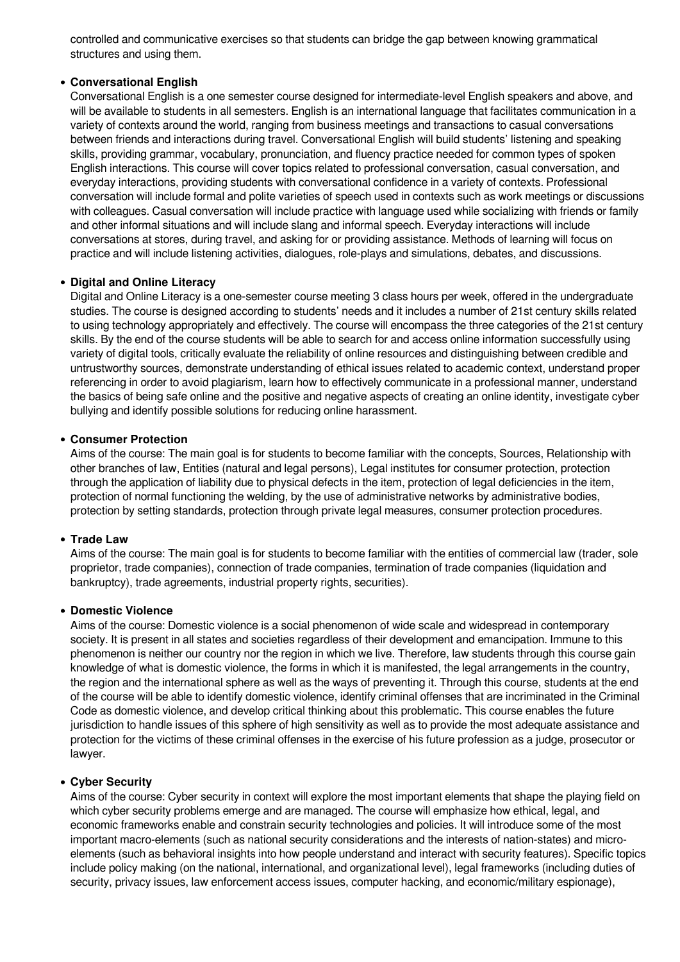controlled and communicative exercises so that students can bridge the gap between knowing grammatical structures and using them.

## **Conversational English**

Conversational English is a one semester course designed for intermediate-level English speakers and above, and will be available to students in all semesters. English is an international language that facilitates communication in a variety of contexts around the world, ranging from business meetings and transactions to casual conversations between friends and interactions during travel. Conversational English will build students' listening and speaking skills, providing grammar, vocabulary, pronunciation, and fluency practice needed for common types of spoken English interactions. This course will cover topics related to professional conversation, casual conversation, and everyday interactions, providing students with conversational confidence in a variety of contexts. Professional conversation will include formal and polite varieties of speech used in contexts such as work meetings or discussions with colleagues. Casual conversation will include practice with language used while socializing with friends or family and other informal situations and will include slang and informal speech. Everyday interactions will include conversations at stores, during travel, and asking for or providing assistance. Methods of learning will focus on practice and will include listening activities, dialogues, role-plays and simulations, debates, and discussions.

#### **Digital and Online Literacy**

Digital and Online Literacy is a one-semester course meeting 3 class hours per week, offered in the undergraduate studies. The course is designed according to students' needs and it includes a number of 21st century skills related to using technology appropriately and effectively. The course will encompass the three categories of the 21st century skills. By the end of the course students will be able to search for and access online information successfully using variety of digital tools, critically evaluate the reliability of online resources and distinguishing between credible and untrustworthy sources, demonstrate understanding of ethical issues related to academic context, understand proper referencing in order to avoid plagiarism, learn how to effectively communicate in a professional manner, understand the basics of being safe online and the positive and negative aspects of creating an online identity, investigate cyber bullying and identify possible solutions for reducing online harassment.

#### **Consumer Protection**

Aims of the course: The main goal is for students to become familiar with the concepts, Sources, Relationship with other branches of law, Entities (natural and legal persons), Legal institutes for consumer protection, protection through the application of liability due to physical defects in the item, protection of legal deficiencies in the item, protection of normal functioning the welding, by the use of administrative networks by administrative bodies, protection by setting standards, protection through private legal measures, consumer protection procedures.

#### **Trade Law**

Aims of the course: The main goal is for students to become familiar with the еntities of commercial law (trader, sole proprietor, trade companies), connection of trade companies, termination of trade companies (liquidation and bankruptcy), trade agreements, industrial property rights, securities).

#### **Domestic Violence**

Aims of the course: Domestic violence is a social phenomenon of wide scale and widespread in contemporary society. It is present in all states and societies regardless of their development and emancipation. Immune to this phenomenon is neither our country nor the region in which we live. Therefore, law students through this course gain knowledge of what is domestic violence, the forms in which it is manifested, the legal arrangements in the country, the region and the international sphere as well as the ways of preventing it. Through this course, students at the end of the course will be able to identify domestic violence, identify criminal offenses that are incriminated in the Criminal Code as domestic violence, and develop critical thinking about this problematic. This course enables the future jurisdiction to handle issues of this sphere of high sensitivity as well as to provide the most adequate assistance and protection for the victims of these criminal offenses in the exercise of his future profession as a judge, prosecutor or lawyer.

#### **Cyber Security**

Aims of the course: Cyber security in context will explore the most important elements that shape the playing field on which cyber security problems emerge and are managed. The course will emphasize how ethical, legal, and economic frameworks enable and constrain security technologies and policies. It will introduce some of the most important macro-elements (such as national security considerations and the interests of nation-states) and microelements (such as behavioral insights into how people understand and interact with security features). Specific topics include policy making (on the national, international, and organizational level), legal frameworks (including duties of security, privacy issues, law enforcement access issues, computer hacking, and economic/military espionage),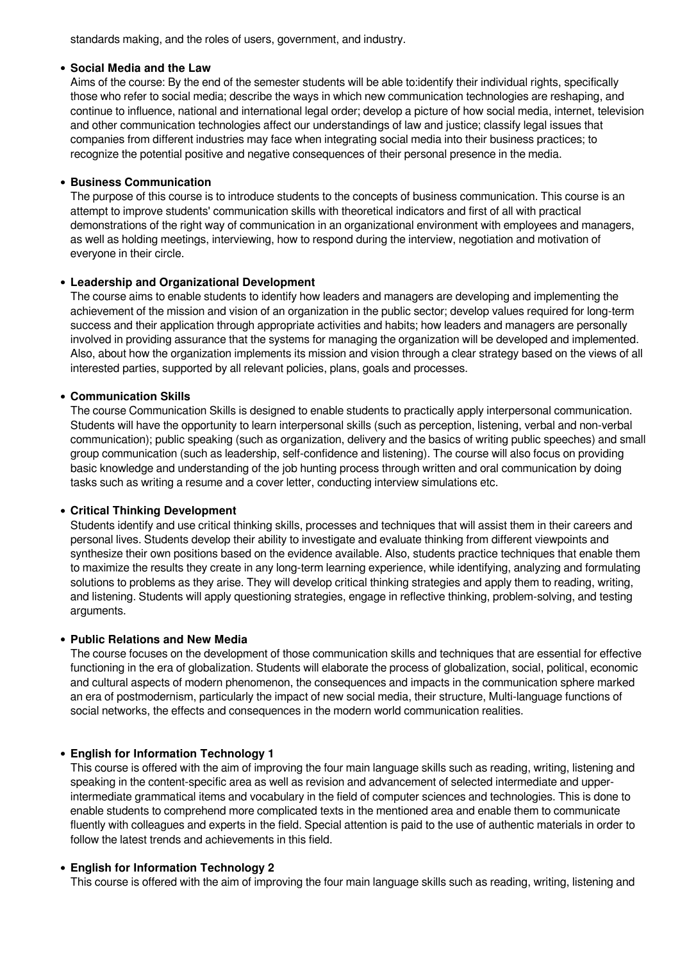standards making, and the roles of users, government, and industry.

#### **Social Media and the Law**

Aims of the course: By the end of the semester students will be able to:identify their individual rights, specifically those who refer to social media; describe the ways in which new communication technologies are reshaping, and continue to influence, national and international legal order; develop a picture of how social media, internet, television and other communication technologies affect our understandings of law and justice; classify legal issues that companies from different industries may face when integrating social media into their business practices; to recognize the potential positive and negative consequences of their personal presence in the media.

## **Business Communication**

The purpose of this course is to introduce students to the concepts of business communication. This course is an attempt to improve students' communication skills with theoretical indicators and first of all with practical demonstrations of the right way of communication in an organizational environment with employees and managers, as well as holding meetings, interviewing, how to respond during the interview, negotiation and motivation of everyone in their circle.

# **Leadership and Organizational Development**

The course aims to enable students to identify how leaders and managers are developing and implementing the achievement of the mission and vision of an organization in the public sector; develop values required for long-term success and their application through appropriate activities and habits; how leaders and managers are personally involved in providing assurance that the systems for managing the organization will be developed and implemented. Also, about how the organization implements its mission and vision through a clear strategy based on the views of all interested parties, supported by all relevant policies, plans, goals and processes.

# **Communication Skills**

The course Communication Skills is designed to enable students to practically apply interpersonal communication. Students will have the opportunity to learn interpersonal skills (such as perception, listening, verbal and non-verbal communication); public speaking (such as organization, delivery and the basics of writing public speeches) and small group communication (such as leadership, self-confidence and listening). The course will also focus on providing basic knowledge and understanding of the job hunting process through written and oral communication by doing tasks such as writing a resume and a cover letter, conducting interview simulations etc.

## **Critical Thinking Development**

Students identify and use critical thinking skills, processes and techniques that will assist them in their careers and personal lives. Students develop their ability to investigate and evaluate thinking from different viewpoints and synthesize their own positions based on the evidence available. Also, students practice techniques that enable them to maximize the results they create in any long-term learning experience, while identifying, analyzing and formulating solutions to problems as they arise. They will develop critical thinking strategies and apply them to reading, writing, and listening. Students will apply questioning strategies, engage in reflective thinking, problem-solving, and testing arguments.

## **Public Relations and New Media**

The course focuses on the development of those communication skills and techniques that are essential for effective functioning in the era of globalization. Students will elaborate the process of globalization, social, political, economic and cultural aspects of modern phenomenon, the consequences and impacts in the communication sphere marked an era of postmodernism, particularly the impact of new social media, their structure, Multi-language functions of social networks, the effects and consequences in the modern world communication realities.

# **English for Information Technology 1**

This course is offered with the aim of improving the four main language skills such as reading, writing, listening and speaking in the content-specific area as well as revision and advancement of selected intermediate and upperintermediate grammatical items and vocabulary in the field of computer sciences and technologies. This is done to enable students to comprehend more complicated texts in the mentioned area and enable them to communicate fluently with colleagues and experts in the field. Special attention is paid to the use of authentic materials in order to follow the latest trends and achievements in this field.

## **English for Information Technology 2**

This course is offered with the aim of improving the four main language skills such as reading, writing, listening and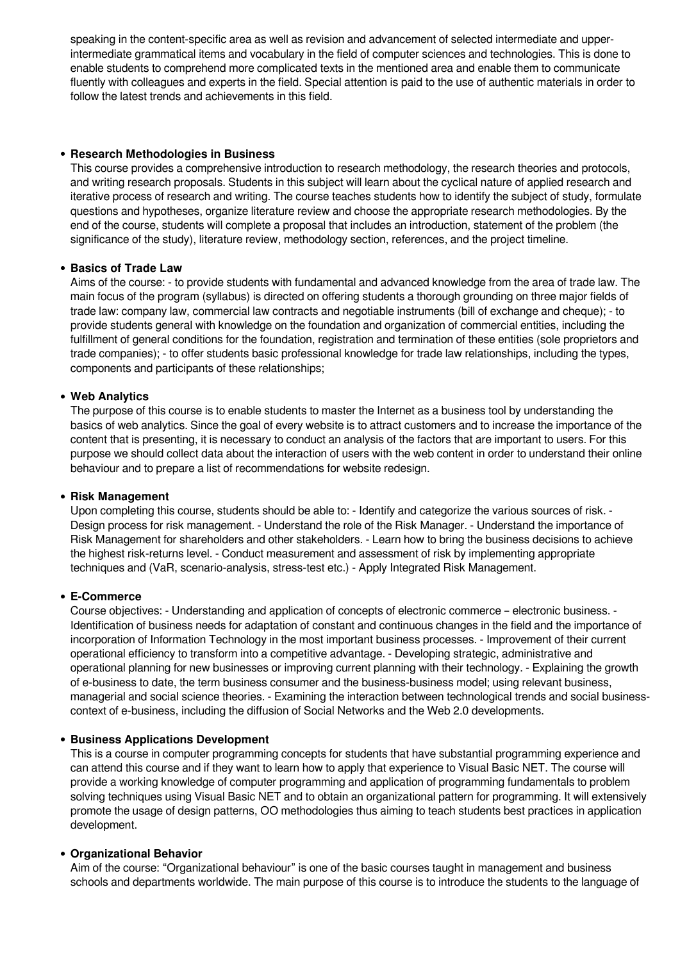speaking in the content-specific area as well as revision and advancement of selected intermediate and upperintermediate grammatical items and vocabulary in the field of computer sciences and technologies. This is done to enable students to comprehend more complicated texts in the mentioned area and enable them to communicate fluently with colleagues and experts in the field. Special attention is paid to the use of authentic materials in order to follow the latest trends and achievements in this field.

#### **Research Methodologies in Business**

This course provides a comprehensive introduction to research methodology, the research theories and protocols, and writing research proposals. Students in this subject will learn about the cyclical nature of applied research and iterative process of research and writing. The course teaches students how to identify the subject of study, formulate questions and hypotheses, organize literature review and choose the appropriate research methodologies. By the end of the course, students will complete a proposal that includes an introduction, statement of the problem (the significance of the study), literature review, methodology section, references, and the project timeline.

## **Basics of Trade Law**

Aims of the course: - to provide students with fundamental and advanced knowledge from the area of trade law. The main focus of the program (syllabus) is directed on offering students a thorough grounding on three major fields of trade law: company law, commercial law contracts and negotiable instruments (bill of exchange and cheque); - to provide students general with knowledge on the foundation and organization of commercial entities, including the fulfillment of general conditions for the foundation, registration and termination of these entities (sole proprietors and trade companies); - to offer students basic professional knowledge for trade law relationships, including the types, components and participants of these relationships;

#### **Web Analytics**

The purpose of this course is to enable students to master the Internet as a business tool by understanding the basics of web analytics. Since the goal of every website is to attract customers and to increase the importance of the content that is presenting, it is necessary to conduct an analysis of the factors that are important to users. For this purpose we should collect data about the interaction of users with the web content in order to understand their online behaviour and to prepare a list of recommendations for website redesign.

#### **Risk Management**

Upon completing this course, students should be able to: - Identify and categorize the various sources of risk. - Design process for risk management. - Understand the role of the Risk Manager. - Understand the importance of Risk Management for shareholders and other stakeholders. - Learn how to bring the business decisions to achieve the highest risk-returns level. - Conduct measurement and assessment of risk by implementing appropriate techniques and (VaR, scenario-analysis, stress-test etc.) - Apply Integrated Risk Management.

#### **Е-Commerce**

Course objectives: - Understanding and application of concepts of electronic commerce – electronic business. - Identification of business needs for adaptation of constant and continuous changes in the field and the importance of incorporation of Information Technology in the most important business processes. - Improvement of their current operational efficiency to transform into a competitive advantage. - Developing strategic, administrative and operational planning for new businesses or improving current planning with their technology. - Explaining the growth of e-business to date, the term business consumer and the business-business model; using relevant business, managerial and social science theories. - Examining the interaction between technological trends and social businesscontext of e-business, including the diffusion of Social Networks and the Web 2.0 developments.

#### **• Business Applications Development**

This is a course in computer programming concepts for students that have substantial programming experience and can attend this course and if they want to learn how to apply that experience to Visual Basic NET. The course will provide a working knowledge of computer programming and application of programming fundamentals to problem solving techniques using Visual Basic NET and to obtain an organizational pattern for programming. It will extensively promote the usage of design patterns, OO methodologies thus aiming to teach students best practices in application development.

## **Organizational Behavior**

Aim of the course: "Organizational behaviour" is one of the basic courses taught in management and business schools and departments worldwide. The main purpose of this course is to introduce the students to the language of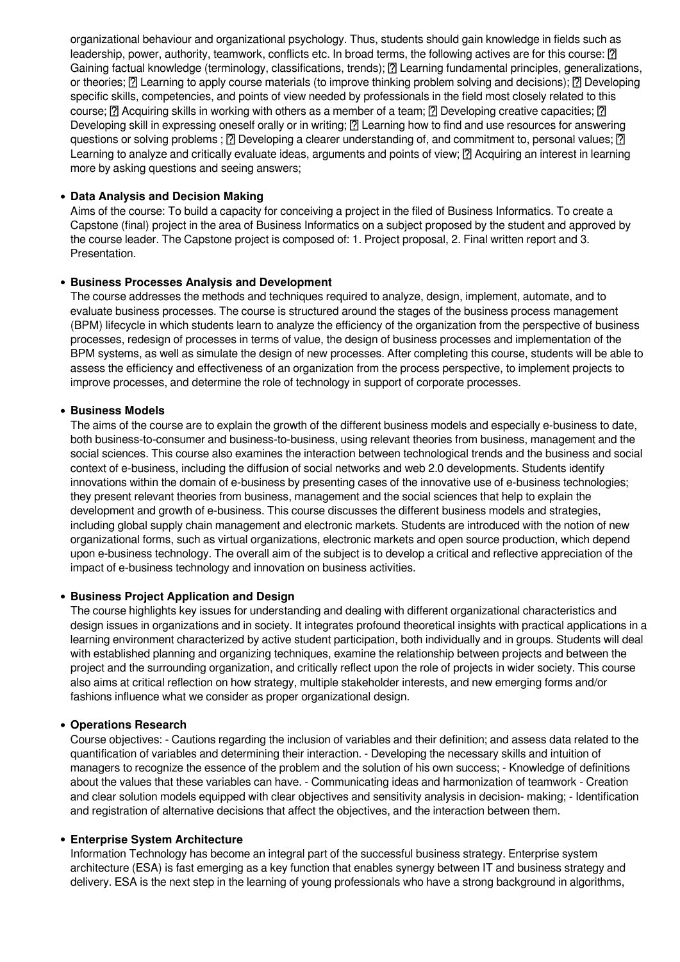organizational behaviour and organizational psychology. Thus, students should gain knowledge in fields such as leadership, power, authority, teamwork, conflicts etc. In broad terms, the following actives are for this course:  $\boxed{?}$ Gaining factual knowledge (terminology, classifications, trends); <sup>[7]</sup> Learning fundamental principles, generalizations, or theories; <sup>[7]</sup> Learning to apply course materials (to improve thinking problem solving and decisions); <sup>[7]</sup> Developing specific skills, competencies, and points of view needed by professionals in the field most closely related to this course;  $\Omega$  Acquiring skills in working with others as a member of a team;  $\Omega$  Developing creative capacities;  $\Omega$ Developing skill in expressing oneself orally or in writing; <sup>[7]</sup> Learning how to find and use resources for answering questions or solving problems ;  $\bar{p}$  Developing a clearer understanding of, and commitment to, personal values;  $\bar{p}$ Learning to analyze and critically evaluate ideas, arguments and points of view;  $\Omega$  Acquiring an interest in learning more by asking questions and seeing answers;

#### **Data Analysis and Decision Making**

Aims of the course: To build a capacity for conceiving a project in the filed of Business Informatics. To create a Capstone (final) project in the area of Business Informatics on a subject proposed by the student and approved by the course leader. The Capstone project is composed of: 1. Project proposal, 2. Final written report and 3. Presentation.

## **Business Processes Analysis and Development**

The course addresses the methods and techniques required to analyze, design, implement, automate, and to evaluate business processes. The course is structured around the stages of the business process management (BPM) lifecycle in which students learn to analyze the efficiency of the organization from the perspective of business processes, redesign of processes in terms of value, the design of business processes and implementation of the BPM systems, as well as simulate the design of new processes. After completing this course, students will be able to assess the efficiency and effectiveness of an organization from the process perspective, to implement projects to improve processes, and determine the role of technology in support of corporate processes.

#### **• Business Models**

The aims of the course are to explain the growth of the different business models and especially e-business to date, both business-to-consumer and business-to-business, using relevant theories from business, management and the social sciences. This course also examines the interaction between technological trends and the business and social context of e-business, including the diffusion of social networks and web 2.0 developments. Students identify innovations within the domain of e-business by presenting cases of the innovative use of e-business technologies; they present relevant theories from business, management and the social sciences that help to explain the development and growth of e-business. This course discusses the different business models and strategies, including global supply chain management and electronic markets. Students are introduced with the notion of new organizational forms, such as virtual organizations, electronic markets and open source production, which depend upon e-business technology. The overall aim of the subject is to develop a critical and reflective appreciation of the impact of e-business technology and innovation on business activities.

#### **• Business Project Application and Design**

The course highlights key issues for understanding and dealing with different organizational characteristics and design issues in organizations and in society. It integrates profound theoretical insights with practical applications in a learning environment characterized by active student participation, both individually and in groups. Students will deal with established planning and organizing techniques, examine the relationship between projects and between the project and the surrounding organization, and critically reflect upon the role of projects in wider society. This course also aims at critical reflection on how strategy, multiple stakeholder interests, and new emerging forms and/or fashions influence what we consider as proper organizational design.

#### **Operations Research**

Course objectives: - Cautions regarding the inclusion of variables and their definition; and assess data related to the quantification of variables and determining their interaction. - Developing the necessary skills and intuition of managers to recognize the essence of the problem and the solution of his own success; - Knowledge of definitions about the values that these variables can have. - Communicating ideas and harmonization of teamwork - Creation and clear solution models equipped with clear objectives and sensitivity analysis in decision- making; - Identification and registration of alternative decisions that affect the objectives, and the interaction between them.

#### **Enterprise System Architecture**

Information Technology has become an integral part of the successful business strategy. Enterprise system architecture (ESA) is fast emerging as a key function that enables synergy between IT and business strategy and delivery. ESA is the next step in the learning of young professionals who have a strong background in algorithms,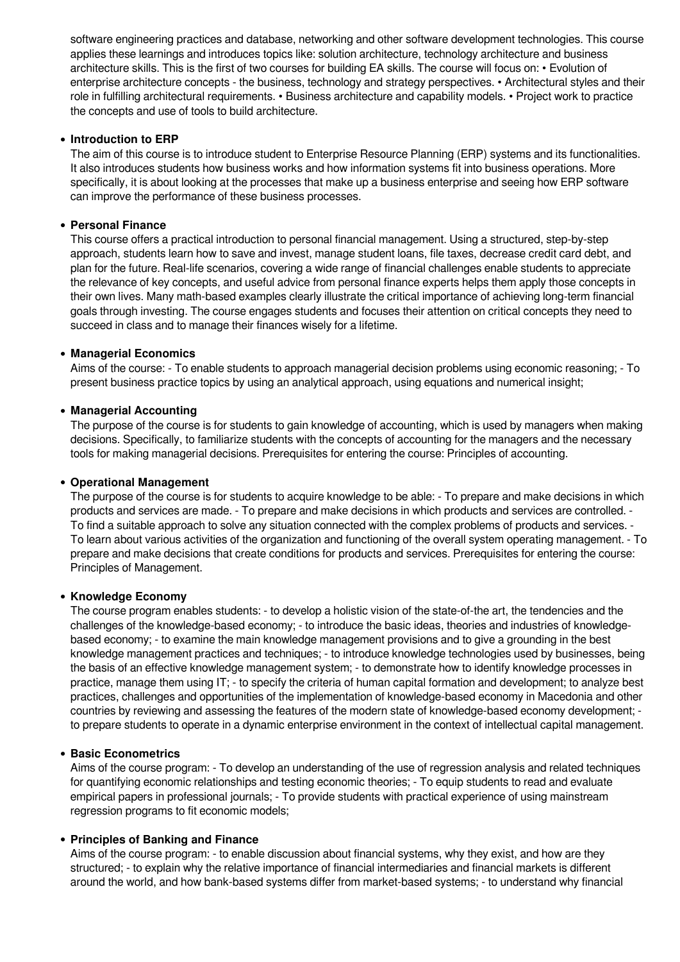software engineering practices and database, networking and other software development technologies. This course applies these learnings and introduces topics like: solution architecture, technology architecture and business architecture skills. This is the first of two courses for building EA skills. The course will focus on: • Evolution of enterprise architecture concepts - the business, technology and strategy perspectives. • Architectural styles and their role in fulfilling architectural requirements. • Business architecture and capability models. • Project work to practice the concepts and use of tools to build architecture.

## **Introduction to ERP**

The aim of this course is to introduce student to Enterprise Resource Planning (ERP) systems and its functionalities. It also introduces students how business works and how information systems fit into business operations. More specifically, it is about looking at the processes that make up a business enterprise and seeing how ERP software can improve the performance of these business processes.

#### **Personal Finance**

This course offers a practical introduction to personal financial management. Using a structured, step-by-step approach, students learn how to save and invest, manage student loans, file taxes, decrease credit card debt, and plan for the future. Real-life scenarios, covering a wide range of financial challenges enable students to appreciate the relevance of key concepts, and useful advice from personal finance experts helps them apply those concepts in their own lives. Many math-based examples clearly illustrate the critical importance of achieving long-term financial goals through investing. The course engages students and focuses their attention on critical concepts they need to succeed in class and to manage their finances wisely for a lifetime.

#### **Managerial Economics**

Aims of the course: - To enable students to approach managerial decision problems using economic reasoning; - To present business practice topics by using an analytical approach, using equations and numerical insight;

#### **Managerial Accounting**

The purpose of the course is for students to gain knowledge of accounting, which is used by managers when making decisions. Specifically, to familiarize students with the concepts of accounting for the managers and the necessary tools for making managerial decisions. Prerequisites for entering the course: Principles of accounting.

#### **Operational Management**

The purpose of the course is for students to acquire knowledge to be able: - To prepare and make decisions in which products and services are made. - To prepare and make decisions in which products and services are controlled. - To find a suitable approach to solve any situation connected with the complex problems of products and services. - To learn about various activities of the organization and functioning of the overall system operating management. - To prepare and make decisions that create conditions for products and services. Prerequisites for entering the course: Principles of Management.

#### **Knowledge Economy**

The course program enables students: - to develop a holistic vision of the state-of-the art, the tendencies and the challenges of the knowledge-based economy; - to introduce the basic ideas, theories and industries of knowledgebased economy; - to examine the main knowledge management provisions and to give a grounding in the best knowledge management practices and techniques; - to introduce knowledge technologies used by businesses, being the basis of an effective knowledge management system; - to demonstrate how to identify knowledge processes in practice, manage them using IT; - to specify the criteria of human capital formation and development; to analyze best practices, challenges and opportunities of the implementation of knowledge-based economy in Macedonia and other countries by reviewing and assessing the features of the modern state of knowledge-based economy development; to prepare students to operate in a dynamic enterprise environment in the context of intellectual capital management.

## **Basic Econometrics**

Aims of the course program: - To develop an understanding of the use of regression analysis and related techniques for quantifying economic relationships and testing economic theories; - To equip students to read and evaluate empirical papers in professional journals; - To provide students with practical experience of using mainstream regression programs to fit economic models;

#### **Principles of Banking and Finance**

Aims of the course program: - to enable discussion about financial systems, why they exist, and how are they structured; - to explain why the relative importance of financial intermediaries and financial markets is different around the world, and how bank-based systems differ from market-based systems; - to understand why financial